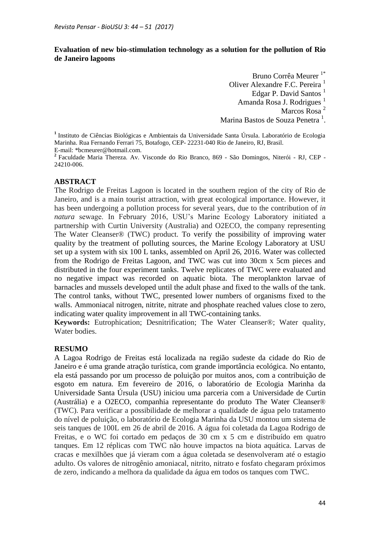# **Evaluation of new bio-stimulation technology as a solution for the pollution of Rio de Janeiro lagoons**

Bruno Corrêa Meurer<sup>1\*</sup> Oliver Alexandre F.C. Pereira<sup>1</sup> Edgar P. David Santos  $<sup>1</sup>$ </sup> Amanda Rosa J. Rodrigues<sup>1</sup> Marcos Rosa<sup>2</sup> Marina Bastos de Souza Penetra<sup>1</sup>.

**1** Instituto de Ciências Biológicas e Ambientais da Universidade Santa Úrsula. Laboratório de Ecologia Marinha. Rua Fernando Ferrari 75, Botafogo, CEP- 22231-040 Rio de Janeiro, RJ, Brasil. E-mail: \*bcmeurer@hotmail.com.

**2** Faculdade Maria Thereza. Av. Visconde do Rio Branco, 869 - São Domingos, Niterói - RJ, CEP - 24210-006.

## **ABSTRACT**

The Rodrigo de Freitas Lagoon is located in the southern region of the city of Rio de Janeiro, and is a main tourist attraction, with great ecological importance. However, it has been undergoing a pollution process for several years, due to the contribution of *in natura* sewage. In February 2016, USU's Marine Ecology Laboratory initiated a partnership with Curtin University (Australia) and O2ECO, the company representing The Water Cleanser® (TWC) product. To verify the possibility of improving water quality by the treatment of polluting sources, the Marine Ecology Laboratory at USU set up a system with six 100 L tanks, assembled on April 26, 2016. Water was collected from the Rodrigo de Freitas Lagoon, and TWC was cut into 30cm x 5cm pieces and distributed in the four experiment tanks. Twelve replicates of TWC were evaluated and no negative impact was recorded on aquatic biota. The meroplankton larvae of barnacles and mussels developed until the adult phase and fixed to the walls of the tank. The control tanks, without TWC, presented lower numbers of organisms fixed to the walls. Ammoniacal nitrogen, nitrite, nitrate and phosphate reached values close to zero, indicating water quality improvement in all TWC-containing tanks.

**Keywords:** Eutrophication; Desnitrification; The Water Cleanser®; Water quality, Water bodies.

### **RESUMO**

A Lagoa Rodrigo de Freitas está localizada na região sudeste da cidade do Rio de Janeiro e é uma grande atração turística, com grande importância ecológica. No entanto, ela está passando por um processo de poluição por muitos anos, com a contribuição de esgoto em natura. Em fevereiro de 2016, o laboratório de Ecologia Marinha da Universidade Santa Úrsula (USU) iniciou uma parceria com a Universidade de Curtin (Austrália) e a O2ECO, companhia representante do produto The Water Cleanser® (TWC). Para verificar a possibilidade de melhorar a qualidade de água pelo tratamento do nível de poluição, o laboratório de Ecologia Marinha da USU montou um sistema de seis tanques de 100L em 26 de abril de 2016. A água foi coletada da Lagoa Rodrigo de Freitas, e o WC foi cortado em pedaços de 30 cm x 5 cm e distribuído em quatro tanques. Em 12 réplicas com TWC não houve impactos na biota aquática. Larvas de cracas e mexilhões que já vieram com a água coletada se desenvolveram até o estagio adulto. Os valores de nitrogênio amoniacal, nitrito, nitrato e fosfato chegaram próximos de zero, indicando a melhora da qualidade da água em todos os tanques com TWC.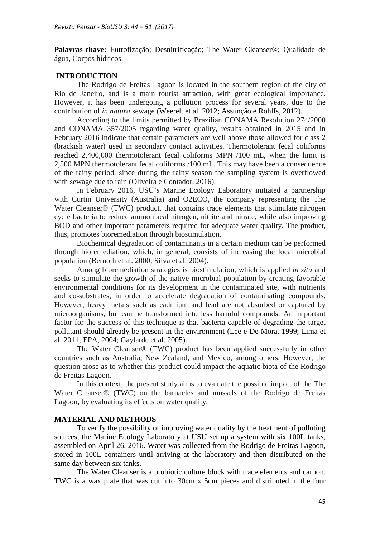**Palavras-chave:** Eutrofização; Desnitrificação; The Water Cleanser®; Qualidade de água, Corpos hídricos.

### **INTRODUCTION**

The Rodrigo de Freitas Lagoon is located in the southern region of the city of Rio de Janeiro, and is a main tourist attraction, with great ecological importance. However, it has been undergoing a pollution process for several years, due to the contribution of *in natura* sewage (Weerelt et al. 2012; Assunção e Rohlfs, 2012).

According to the limits permitted by Brazilian CONAMA Resolution 274/2000 and CONAMA 357/2005 regarding water quality, results obtained in 2015 and in February 2016 indicate that certain parameters are well above those allowed for class 2 (brackish water) used in secondary contact activities. Thermotolerant fecal coliforms reached 2,400,000 thermotolerant fecal coliforms MPN /100 mL, when the limit is 2,500 MPN thermotolerant fecal coliforms /100 mL. This may have been a consequence of the rainy period, since during the rainy season the sampling system is overflowed with sewage due to rain (Oliveira e Contador, 2016).

In February 2016, USU's Marine Ecology Laboratory initiated a partnership with Curtin University (Australia) and O2ECO, the company representing the The Water Cleanser® (TWC) product, that contains trace elements that stimulate nitrogen cycle bacteria to reduce ammoniacal nitrogen, nitrite and nitrate, while also improving BOD and other important parameters required for adequate water quality. The product, thus, promotes bioremediation through biostimulation.

Biochemical degradation of contaminants in a certain medium can be performed through bioremediation, which, in general, consists of increasing the local microbial population (Bernoth et al. 2000; Silva et al. 2004).

Among bioremediation strategies is biostimulation, which is applied *in situ* and seeks to stimulate the growth of the native microbial population by creating favorable environmental conditions for its development in the contaminated site, with nutrients and co-substrates, in order to accelerate degradation of contaminating compounds. However, heavy metals such as cadmium and lead are not absorbed or captured by microorganisms, but can be transformed into less harmful compounds. An important factor for the success of this technique is that bacteria capable of degrading the target pollutant should already be present in the environment (Lee e De Mora, 1999; Lima et al. 2011; EPA, 2004; Gaylarde et al. 2005).

The Water Cleanser® (TWC) product has been applied successfully in other countries such as Australia, New Zealand, and Mexico, among others. However, the question arose as to whether this product could impact the aquatic biota of the Rodrigo de Freitas Lagoon.

In this context, the present study aims to evaluate the possible impact of the The Water Cleanser® (TWC) on the barnacles and mussels of the Rodrigo de Freitas Lagoon, by evaluating its effects on water quality.

#### **MATERIAL AND METHODS**

To verify the possibility of improving water quality by the treatment of polluting sources, the Marine Ecology Laboratory at USU set up a system with six 100L tanks, assembled on April 26, 2016. Water was collected from the Rodrigo de Freitas Lagoon, stored in 100L containers until arriving at the laboratory and then distributed on the same day between six tanks.

The Water Cleanser is a probiotic culture block with trace elements and carbon. TWC is a wax plate that was cut into 30cm x 5cm pieces and distributed in the four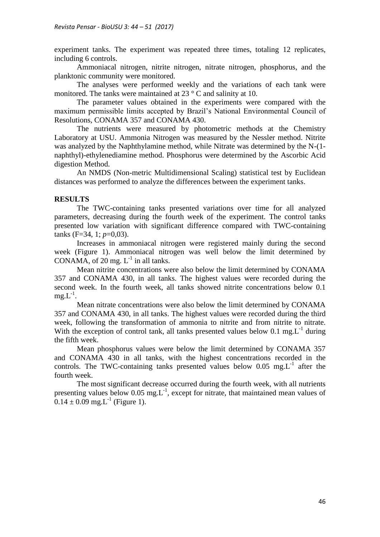experiment tanks. The experiment was repeated three times, totaling 12 replicates, including 6 controls.

Ammoniacal nitrogen, nitrite nitrogen, nitrate nitrogen, phosphorus, and the planktonic community were monitored.

The analyses were performed weekly and the variations of each tank were monitored. The tanks were maintained at 23 ° C and salinity at 10.

The parameter values obtained in the experiments were compared with the maximum permissible limits accepted by Brazil's National Environmental Council of Resolutions, CONAMA 357 and CONAMA 430.

The nutrients were measured by photometric methods at the Chemistry Laboratory at USU. Ammonia Nitrogen was measured by the Nessler method. Nitrite was analyzed by the Naphthylamine method, while Nitrate was determined by the N-(1 naphthyl)-ethylenediamine method. Phosphorus were determined by the Ascorbic Acid digestion Method.

An NMDS (Non-metric Multidimensional Scaling) statistical test by Euclidean distances was performed to analyze the differences between the experiment tanks.

### **RESULTS**

The TWC-containing tanks presented variations over time for all analyzed parameters, decreasing during the fourth week of the experiment. The control tanks presented low variation with significant difference compared with TWC-containing tanks  $(F=34, 1; p=0.03)$ .

Increases in ammoniacal nitrogen were registered mainly during the second week (Figure 1). Ammoniacal nitrogen was well below the limit determined by CONAMA, of 20 mg.  $L^{-1}$  in all tanks.

Mean nitrite concentrations were also below the limit determined by CONAMA 357 and CONAMA 430, in all tanks. The highest values were recorded during the second week. In the fourth week, all tanks showed nitrite concentrations below 0.1  $mg.L^{-1}$ .

Mean nitrate concentrations were also below the limit determined by CONAMA 357 and CONAMA 430, in all tanks. The highest values were recorded during the third week, following the transformation of ammonia to nitrite and from nitrite to nitrate. With the exception of control tank, all tanks presented values below  $0.1 \text{ mg} L^{-1}$  during the fifth week.

Mean phosphorus values were below the limit determined by CONAMA 357 and CONAMA 430 in all tanks, with the highest concentrations recorded in the controls. The TWC-containing tanks presented values below  $0.05$  mg. $L^{-1}$  after the fourth week.

The most significant decrease occurred during the fourth week, with all nutrients presenting values below  $0.05 \text{ mg.L}^{-1}$ , except for nitrate, that maintained mean values of  $0.14 \pm 0.09$  mg.L<sup>-1</sup> (Figure 1).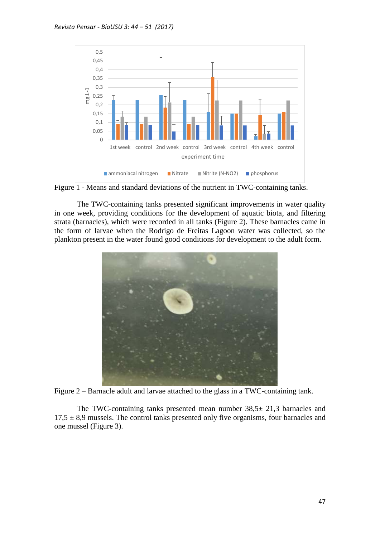

Figure 1 - Means and standard deviations of the nutrient in TWC-containing tanks.

The TWC-containing tanks presented significant improvements in water quality in one week, providing conditions for the development of aquatic biota, and filtering strata (barnacles), which were recorded in all tanks (Figure 2). These barnacles came in the form of larvae when the Rodrigo de Freitas Lagoon water was collected, so the plankton present in the water found good conditions for development to the adult form.



Figure 2 – Barnacle adult and larvae attached to the glass in a TWC-containing tank.

The TWC-containing tanks presented mean number  $38,5\pm 21,3$  barnacles and  $17.5 \pm 8.9$  mussels. The control tanks presented only five organisms, four barnacles and one mussel (Figure 3).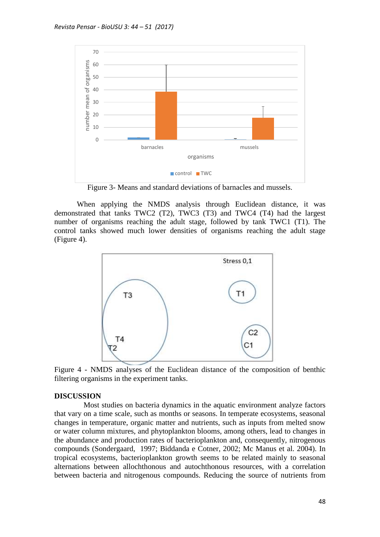

Figure 3- Means and standard deviations of barnacles and mussels.

When applying the NMDS analysis through Euclidean distance, it was demonstrated that tanks TWC2 (T2), TWC3 (T3) and TWC4 (T4) had the largest number of organisms reaching the adult stage, followed by tank TWC1 (T1). The control tanks showed much lower densities of organisms reaching the adult stage (Figure 4).



Figure 4 - NMDS analyses of the Euclidean distance of the composition of benthic filtering organisms in the experiment tanks.

### **DISCUSSION**

Most studies on bacteria dynamics in the aquatic environment analyze factors that vary on a time scale, such as months or seasons. In temperate ecosystems, seasonal changes in temperature, organic matter and nutrients, such as inputs from melted snow or water column mixtures, and phytoplankton blooms, among others, lead to changes in the abundance and production rates of bacterioplankton and, consequently, nitrogenous compounds (Sondergaard, 1997; Biddanda e Cotner, 2002; Mc Manus et al. 2004). In tropical ecosystems, bacterioplankton growth seems to be related mainly to seasonal alternations between allochthonous and autochthonous resources, with a correlation between bacteria and nitrogenous compounds. Reducing the source of nutrients from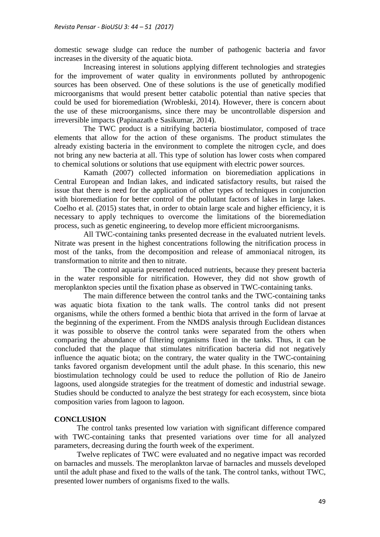domestic sewage sludge can reduce the number of pathogenic bacteria and favor increases in the diversity of the aquatic biota.

Increasing interest in solutions applying different technologies and strategies for the improvement of water quality in environments polluted by anthropogenic sources has been observed. One of these solutions is the use of genetically modified microorganisms that would present better catabolic potential than native species that could be used for bioremediation (Wrobleski, 2014). However, there is concern about the use of these microorganisms, since there may be uncontrollable dispersion and irreversible impacts (Papinazath e Sasikumar, 2014).

The TWC product is a nitrifying bacteria biostimulator, composed of trace elements that allow for the action of these organisms. The product stimulates the already existing bacteria in the environment to complete the nitrogen cycle, and does not bring any new bacteria at all. This type of solution has lower costs when compared to chemical solutions or solutions that use equipment with electric power sources.

Kamath (2007) collected information on bioremediation applications in Central European and Indian lakes, and indicated satisfactory results, but raised the issue that there is need for the application of other types of techniques in conjunction with bioremediation for better control of the pollutant factors of lakes in large lakes. Coelho et al. (2015) states that, in order to obtain large scale and higher efficiency, it is necessary to apply techniques to overcome the limitations of the bioremediation process, such as genetic engineering, to develop more efficient microorganisms.

All TWC-containing tanks presented decrease in the evaluated nutrient levels. Nitrate was present in the highest concentrations following the nitrification process in most of the tanks, from the decomposition and release of ammoniacal nitrogen, its transformation to nitrite and then to nitrate.

The control aquaria presented reduced nutrients, because they present bacteria in the water responsible for nitrification. However, they did not show growth of meroplankton species until the fixation phase as observed in TWC-containing tanks.

The main difference between the control tanks and the TWC-containing tanks was aquatic biota fixation to the tank walls. The control tanks did not present organisms, while the others formed a benthic biota that arrived in the form of larvae at the beginning of the experiment. From the NMDS analysis through Euclidean distances it was possible to observe the control tanks were separated from the others when comparing the abundance of filtering organisms fixed in the tanks. Thus, it can be concluded that the plaque that stimulates nitrification bacteria did not negatively influence the aquatic biota; on the contrary, the water quality in the TWC-containing tanks favored organism development until the adult phase. In this scenario, this new biostimulation technology could be used to reduce the pollution of Rio de Janeiro lagoons, used alongside strategies for the treatment of domestic and industrial sewage. Studies should be conducted to analyze the best strategy for each ecosystem, since biota composition varies from lagoon to lagoon.

# **CONCLUSION**

The control tanks presented low variation with significant difference compared with TWC-containing tanks that presented variations over time for all analyzed parameters, decreasing during the fourth week of the experiment.

Twelve replicates of TWC were evaluated and no negative impact was recorded on barnacles and mussels. The meroplankton larvae of barnacles and mussels developed until the adult phase and fixed to the walls of the tank. The control tanks, without TWC, presented lower numbers of organisms fixed to the walls.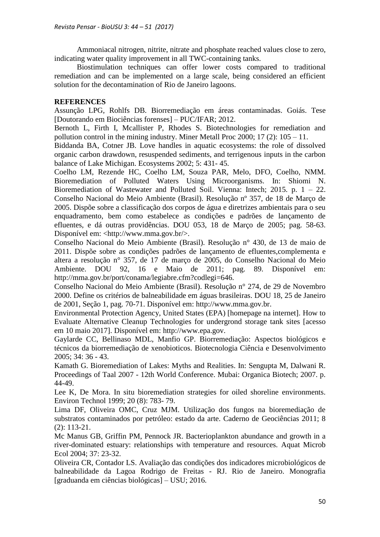Ammoniacal nitrogen, nitrite, nitrate and phosphate reached values close to zero, indicating water quality improvement in all TWC-containing tanks.

Biostimulation techniques can offer lower costs compared to traditional remediation and can be implemented on a large scale, being considered an efficient solution for the decontamination of Rio de Janeiro lagoons.

## **REFERENCES**

Assunção LPG, Rohlfs DB. Biorremediação em áreas contaminadas. Goiás. Tese [Doutorando em Biociências forenses] – PUC/IFAR; 2012.

Bernoth L, Firth I, Mcallister P, Rhodes S. Biotechnologies for remediation and pollution control in the mining industry. Miner Metall Proc 2000; 17 (2): 105 – 11.

Biddanda BA, Cotner JB. Love handles in aquatic ecosystems: the role of dissolved organic carbon drawdown, resuspended sediments, and terrigenous inputs in the carbon balance of Lake Michigan. Ecosystems 2002; 5: 431- 45.

Coelho LM, Rezende HC, Coelho LM, Souza PAR, Melo, DFO, Coelho, NMM. Bioremediation of Polluted Waters Using Microorganisms. In: Shiomi N. Bioremediation of Wastewater and Polluted Soil. Vienna: Intech; 2015. p.  $1 - 22$ . Conselho Nacional do Meio Ambiente (Brasil). Resolução nº 357, de 18 de Março de 2005. Dispõe sobre a classificação dos corpos de água e diretrizes ambientais para o seu enquadramento, bem como estabelece as condições e padrões de lançamento de efluentes, e dá outras providências. DOU 053, 18 de Março de 2005; pag. 58-63. Disponível em: <http://www.mma.gov.br/>.

Conselho Nacional do Meio Ambiente (Brasil). Resolução n° 430, de 13 de maio de 2011. Dispõe sobre as condições padrões de lançamento de efluentes,complementa e altera a resolução n° 357, de 17 de março de 2005, do Conselho Nacional do Meio Ambiente. DOU 92, 16 e Maio de 2011; pag. 89. Disponível em: http://mma.gov.br/port/conama/legiabre.cfm?codlegi=646.

Conselho Nacional do Meio Ambiente (Brasil). Resolução n° 274, de 29 de Novembro 2000. Define os critérios de balneabilidade em águas brasileiras. DOU 18, 25 de Janeiro de 2001, Seção 1, pag. 70-71. Disponível em: http://www.mma.gov.br.

Environmental Protection Agency, United States (EPA) [homepage na internet]. How to Evaluate Alternative Cleanup Technologies for undergrond storage tank sites [acesso em 10 maio 2017]. Disponível em: http://www.epa.gov.

Gaylarde CC, Bellinaso MDL, Manfio GP. Biorremediação: Aspectos biológicos e técnicos da biorremediação de xenobioticos. Biotecnologia Ciência e Desenvolvimento 2005; 34: 36 - 43.

Kamath G. Bioremediation of Lakes: Myths and Realities. In: Sengupta M, Dalwani R. Proceedings of Taal 2007 - 12th World Conference. Mubai: Organica Biotech; 2007. p. 44-49.

Lee K, De Mora. In situ bioremediation strategies for oiled shoreline environments. Environ Technol 1999; 20 (8): 783- 79.

Lima DF, Oliveira OMC, Cruz MJM. Utilização dos fungos na bioremediação de substratos contaminados por petróleo: estado da arte. Caderno de Geociências 2011; 8 (2): 113-21.

Mc Manus GB, Griffin PM, Pennock JR. Bacterioplankton abundance and growth in a river-dominated estuary: relationships with temperature and resources. Aquat Microb Ecol 2004; 37: 23-32.

Oliveira CR, Contador LS. Avaliação das condições dos indicadores microbiológicos de balneabilidade da Lagoa Rodrigo de Freitas - RJ. Rio de Janeiro. Monografia [graduanda em ciências biológicas] – USU; 2016.